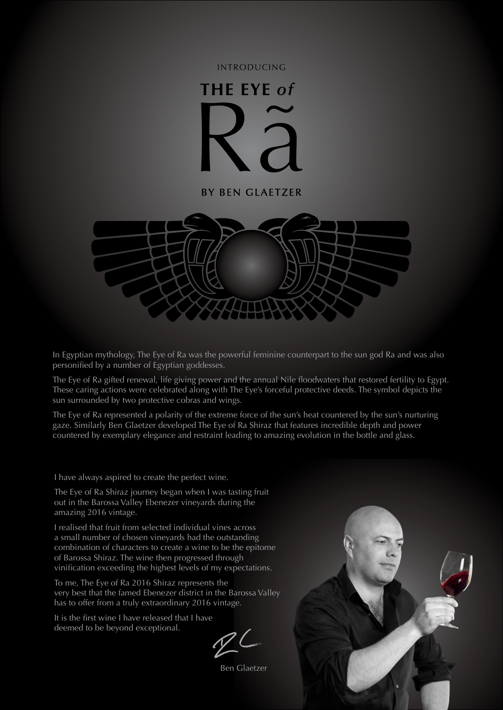

# **THE EYE of**

**BY BEN GLAETZER** 



In Egyptian mythology, The Eye of Ra was the powerful feminine counterpart to the sun god Ra and was also personified by a number of Egyptian goddesses.

The Eye of Ra gifted renewal, life giving power and the annual Nile floodwaters that restored fertility to Egypt. These caring actions were celebrated along with The Eye's forceful protective deeds. The symbol depicts the sun surrounded by two protective cobras and wings.

The Eye of Ra represented a polarity of the extreme force of the sun's heat countered by the sun's nurturing gaze. Similarly Ben Glaetzer developed The Eye of Ra Shiraz that features incredible depth and power countered by exemplary elegance and restraint leading to amazing evolution in the bottle and glass.

I have always aspired to create the perfect wine.

The Eye of Ra Shiraz journey began when I was tasting fruit out in the Barossa Valley Ebenezer vineyards during the amazing 2016 vintage.

I realised that fruit from selected individual vines across a small number of chosen vineyards had the outstanding combination of characters to create a wine to be the epitome of Barossa Shiraz. The wine then progressed through vinification exceeding the highest levels of my expectations.

To me, The Eye of Ra 2016 Shiraz represents the very best that the famed Ebenezer district in the Barossa Valley has to offer from a truly extraordinary 2016 vintage.

It is the first wine I have released that I have deemed to be beyond exceptional.

Ben Glaetzer